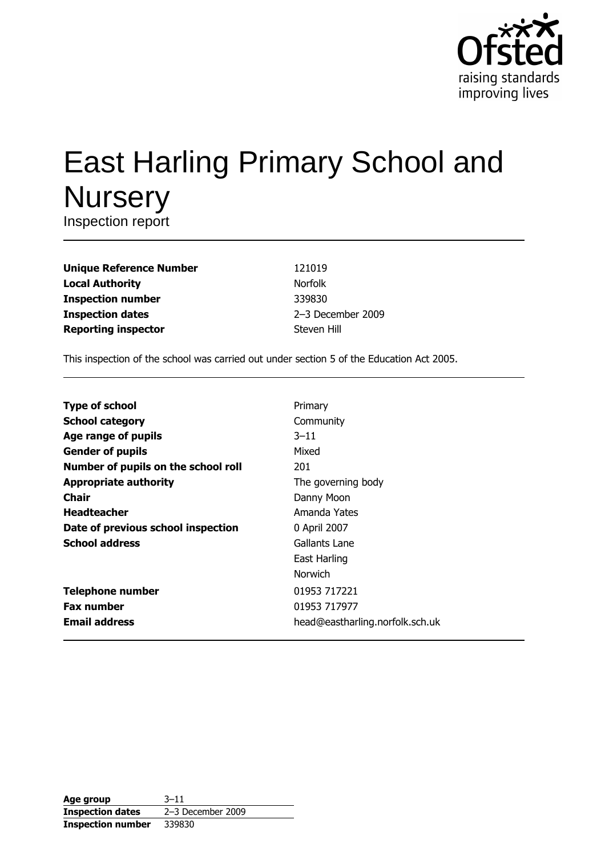

# **East Harling Primary School and Nursery**

Inspection report

| <b>Unique Reference Number</b> |
|--------------------------------|
| <b>Local Authority</b>         |
| <b>Inspection number</b>       |
| <b>Inspection dates</b>        |
| <b>Reporting inspector</b>     |

121019 Norfolk 339830 2-3 December 2009 Steven Hill

This inspection of the school was carried out under section 5 of the Education Act 2005.

| <b>Type of school</b>               | Primary                         |
|-------------------------------------|---------------------------------|
| <b>School category</b>              | Community                       |
| Age range of pupils                 | $3 - 11$                        |
| <b>Gender of pupils</b>             | Mixed                           |
| Number of pupils on the school roll | 201                             |
| <b>Appropriate authority</b>        | The governing body              |
| Chair                               | Danny Moon                      |
| <b>Headteacher</b>                  | Amanda Yates                    |
| Date of previous school inspection  | 0 April 2007                    |
| <b>School address</b>               | Gallants Lane                   |
|                                     | East Harling                    |
|                                     | <b>Norwich</b>                  |
| <b>Telephone number</b>             | 01953 717221                    |
| <b>Fax number</b>                   | 01953 717977                    |
| <b>Email address</b>                | head@eastharling.norfolk.sch.uk |

| Age group                | $3 - 11$          |
|--------------------------|-------------------|
| <b>Inspection dates</b>  | 2-3 December 2009 |
| <b>Inspection number</b> | 339830            |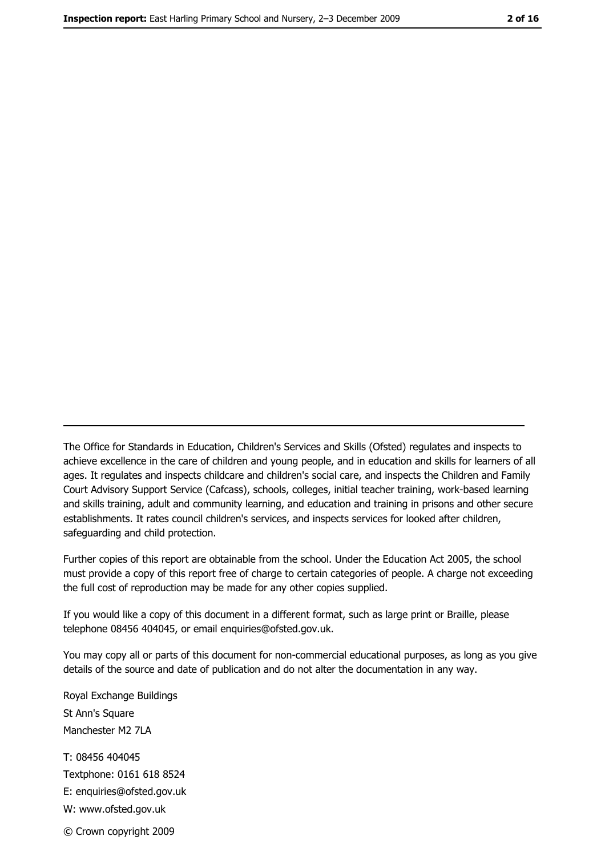The Office for Standards in Education, Children's Services and Skills (Ofsted) regulates and inspects to achieve excellence in the care of children and young people, and in education and skills for learners of all ages. It regulates and inspects childcare and children's social care, and inspects the Children and Family Court Advisory Support Service (Cafcass), schools, colleges, initial teacher training, work-based learning and skills training, adult and community learning, and education and training in prisons and other secure establishments. It rates council children's services, and inspects services for looked after children, safequarding and child protection.

Further copies of this report are obtainable from the school. Under the Education Act 2005, the school must provide a copy of this report free of charge to certain categories of people. A charge not exceeding the full cost of reproduction may be made for any other copies supplied.

If you would like a copy of this document in a different format, such as large print or Braille, please telephone 08456 404045, or email enquiries@ofsted.gov.uk.

You may copy all or parts of this document for non-commercial educational purposes, as long as you give details of the source and date of publication and do not alter the documentation in any way.

Royal Exchange Buildings St Ann's Square Manchester M2 7LA T: 08456 404045 Textphone: 0161 618 8524 E: enquiries@ofsted.gov.uk W: www.ofsted.gov.uk © Crown copyright 2009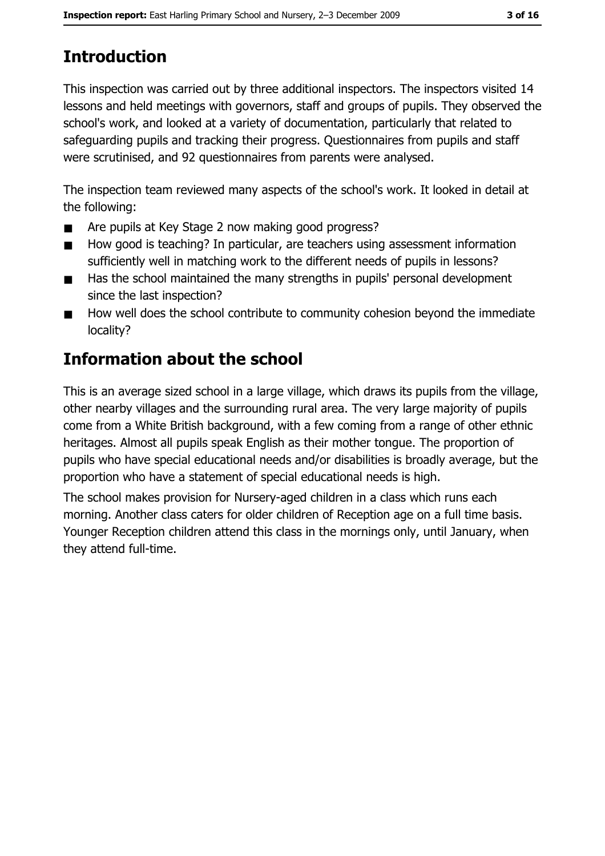# **Introduction**

This inspection was carried out by three additional inspectors. The inspectors visited 14 lessons and held meetings with governors, staff and groups of pupils. They observed the school's work, and looked at a variety of documentation, particularly that related to safeguarding pupils and tracking their progress. Questionnaires from pupils and staff were scrutinised, and 92 questionnaires from parents were analysed.

The inspection team reviewed many aspects of the school's work. It looked in detail at the following:

- Are pupils at Key Stage 2 now making good progress?  $\blacksquare$
- How good is teaching? In particular, are teachers using assessment information  $\blacksquare$ sufficiently well in matching work to the different needs of pupils in lessons?
- Has the school maintained the many strengths in pupils' personal development  $\blacksquare$ since the last inspection?
- How well does the school contribute to community cohesion beyond the immediate  $\blacksquare$ locality?

# **Information about the school**

This is an average sized school in a large village, which draws its pupils from the village, other nearby villages and the surrounding rural area. The very large majority of pupils come from a White British background, with a few coming from a range of other ethnic heritages. Almost all pupils speak English as their mother tongue. The proportion of pupils who have special educational needs and/or disabilities is broadly average, but the proportion who have a statement of special educational needs is high.

The school makes provision for Nursery-aged children in a class which runs each morning. Another class caters for older children of Reception age on a full time basis. Younger Reception children attend this class in the mornings only, until January, when they attend full-time.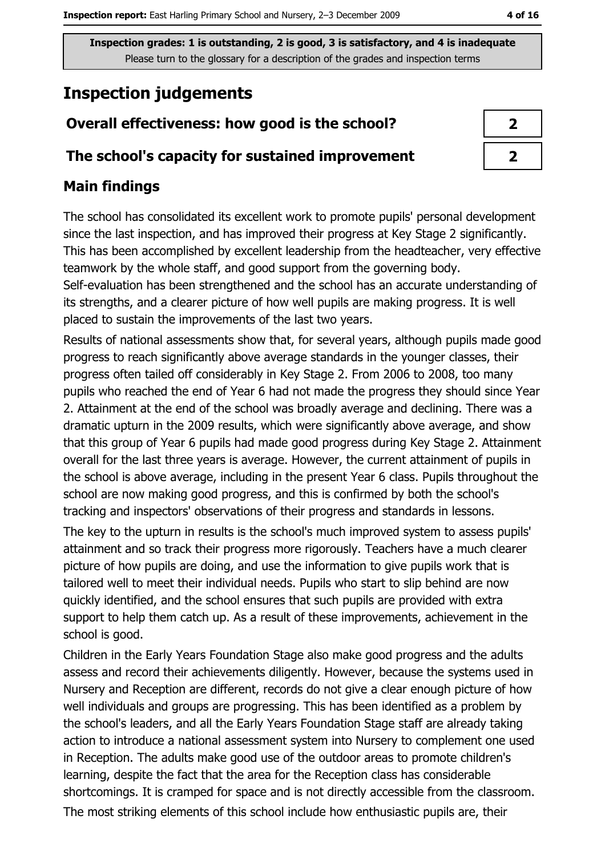# **Inspection judgements**

## Overall effectiveness: how good is the school?

#### The school's capacity for sustained improvement

## **Main findings**

The school has consolidated its excellent work to promote pupils' personal development since the last inspection, and has improved their progress at Key Stage 2 significantly. This has been accomplished by excellent leadership from the headteacher, very effective teamwork by the whole staff, and good support from the governing body.

Self-evaluation has been strengthened and the school has an accurate understanding of its strengths, and a clearer picture of how well pupils are making progress. It is well placed to sustain the improvements of the last two years.

Results of national assessments show that, for several years, although pupils made good progress to reach significantly above average standards in the younger classes, their progress often tailed off considerably in Key Stage 2. From 2006 to 2008, too many pupils who reached the end of Year 6 had not made the progress they should since Year 2. Attainment at the end of the school was broadly average and declining. There was a dramatic upturn in the 2009 results, which were significantly above average, and show that this group of Year 6 pupils had made good progress during Key Stage 2. Attainment overall for the last three years is average. However, the current attainment of pupils in the school is above average, including in the present Year 6 class. Pupils throughout the school are now making good progress, and this is confirmed by both the school's tracking and inspectors' observations of their progress and standards in lessons.

The key to the upturn in results is the school's much improved system to assess pupils' attainment and so track their progress more rigorously. Teachers have a much clearer picture of how pupils are doing, and use the information to give pupils work that is tailored well to meet their individual needs. Pupils who start to slip behind are now quickly identified, and the school ensures that such pupils are provided with extra support to help them catch up. As a result of these improvements, achievement in the school is good.

Children in the Early Years Foundation Stage also make good progress and the adults assess and record their achievements diligently. However, because the systems used in Nursery and Reception are different, records do not give a clear enough picture of how well individuals and groups are progressing. This has been identified as a problem by the school's leaders, and all the Early Years Foundation Stage staff are already taking action to introduce a national assessment system into Nursery to complement one used in Reception. The adults make good use of the outdoor areas to promote children's learning, despite the fact that the area for the Reception class has considerable shortcomings. It is cramped for space and is not directly accessible from the classroom. The most striking elements of this school include how enthusiastic pupils are, their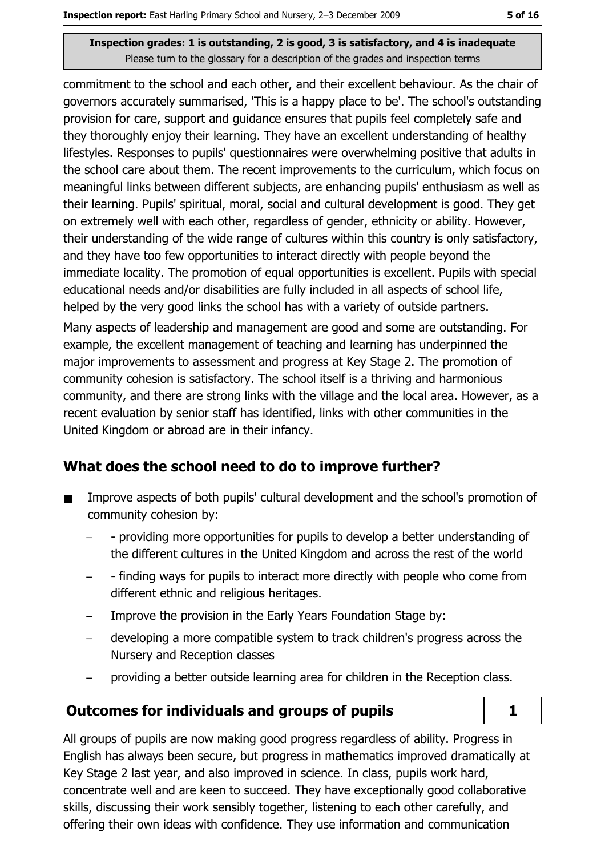commitment to the school and each other, and their excellent behaviour. As the chair of governors accurately summarised, 'This is a happy place to be'. The school's outstanding provision for care, support and quidance ensures that pupils feel completely safe and they thoroughly enjoy their learning. They have an excellent understanding of healthy lifestyles. Responses to pupils' questionnaires were overwhelming positive that adults in the school care about them. The recent improvements to the curriculum, which focus on meaningful links between different subjects, are enhancing pupils' enthusiasm as well as their learning. Pupils' spiritual, moral, social and cultural development is good. They get on extremely well with each other, regardless of gender, ethnicity or ability. However, their understanding of the wide range of cultures within this country is only satisfactory, and they have too few opportunities to interact directly with people beyond the immediate locality. The promotion of equal opportunities is excellent. Pupils with special educational needs and/or disabilities are fully included in all aspects of school life, helped by the very good links the school has with a variety of outside partners. Many aspects of leadership and management are good and some are outstanding. For example, the excellent management of teaching and learning has underpinned the major improvements to assessment and progress at Key Stage 2. The promotion of community cohesion is satisfactory. The school itself is a thriving and harmonious community, and there are strong links with the village and the local area. However, as a recent evaluation by senior staff has identified, links with other communities in the United Kingdom or abroad are in their infancy.

## What does the school need to do to improve further?

- Improve aspects of both pupils' cultural development and the school's promotion of  $\blacksquare$ community cohesion by:
	- providing more opportunities for pupils to develop a better understanding of the different cultures in the United Kingdom and across the rest of the world
	- finding ways for pupils to interact more directly with people who come from different ethnic and religious heritages.
	- Improve the provision in the Early Years Foundation Stage by:
	- developing a more compatible system to track children's progress across the  $\overline{\phantom{a}}$ Nursery and Reception classes
	- providing a better outside learning area for children in the Reception class.

## **Outcomes for individuals and groups of pupils**



All groups of pupils are now making good progress regardless of ability. Progress in English has always been secure, but progress in mathematics improved dramatically at Key Stage 2 last year, and also improved in science. In class, pupils work hard, concentrate well and are keen to succeed. They have exceptionally good collaborative skills, discussing their work sensibly together, listening to each other carefully, and offering their own ideas with confidence. They use information and communication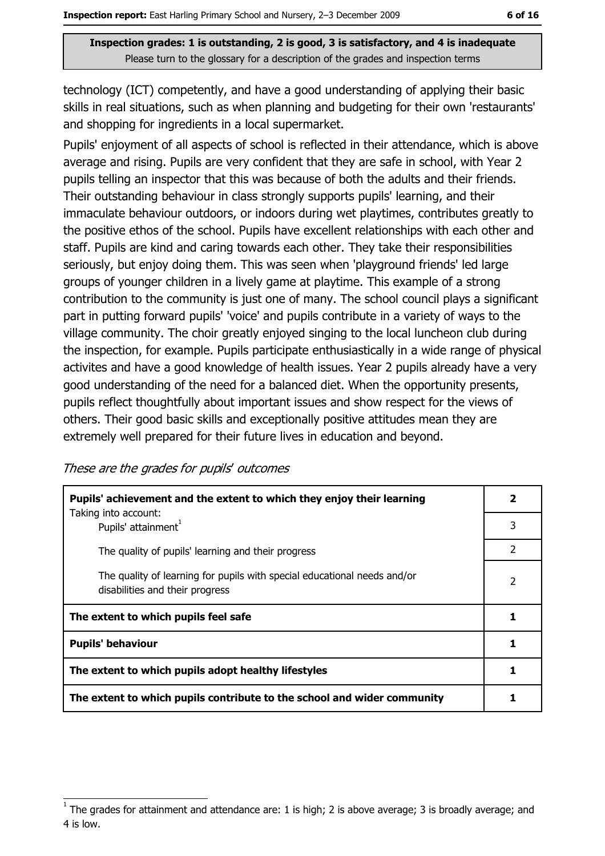technology (ICT) competently, and have a good understanding of applying their basic skills in real situations, such as when planning and budgeting for their own 'restaurants' and shopping for ingredients in a local supermarket.

Pupils' enjoyment of all aspects of school is reflected in their attendance, which is above average and rising. Pupils are very confident that they are safe in school, with Year 2 pupils telling an inspector that this was because of both the adults and their friends. Their outstanding behaviour in class strongly supports pupils' learning, and their immaculate behaviour outdoors, or indoors during wet playtimes, contributes greatly to the positive ethos of the school. Pupils have excellent relationships with each other and staff. Pupils are kind and caring towards each other. They take their responsibilities seriously, but enjoy doing them. This was seen when 'playground friends' led large groups of younger children in a lively game at playtime. This example of a strong contribution to the community is just one of many. The school council plays a significant part in putting forward pupils' 'voice' and pupils contribute in a variety of ways to the village community. The choir greatly enjoyed singing to the local luncheon club during the inspection, for example. Pupils participate enthusiastically in a wide range of physical activites and have a good knowledge of health issues. Year 2 pupils already have a very good understanding of the need for a balanced diet. When the opportunity presents, pupils reflect thoughtfully about important issues and show respect for the views of others. Their good basic skills and exceptionally positive attitudes mean they are extremely well prepared for their future lives in education and beyond.

| These are the grades for pupils' outcomes |  |  |  |
|-------------------------------------------|--|--|--|
|-------------------------------------------|--|--|--|

| Pupils' achievement and the extent to which they enjoy their learning<br>Taking into account:               | $\overline{\mathbf{2}}$  |
|-------------------------------------------------------------------------------------------------------------|--------------------------|
| Pupils' attainment <sup>1</sup>                                                                             | 3                        |
| The quality of pupils' learning and their progress                                                          | 2                        |
| The quality of learning for pupils with special educational needs and/or<br>disabilities and their progress | $\overline{\phantom{a}}$ |
| The extent to which pupils feel safe                                                                        |                          |
| <b>Pupils' behaviour</b>                                                                                    |                          |
| The extent to which pupils adopt healthy lifestyles                                                         |                          |
| The extent to which pupils contribute to the school and wider community                                     |                          |

The grades for attainment and attendance are: 1 is high; 2 is above average; 3 is broadly average; and 4 is low.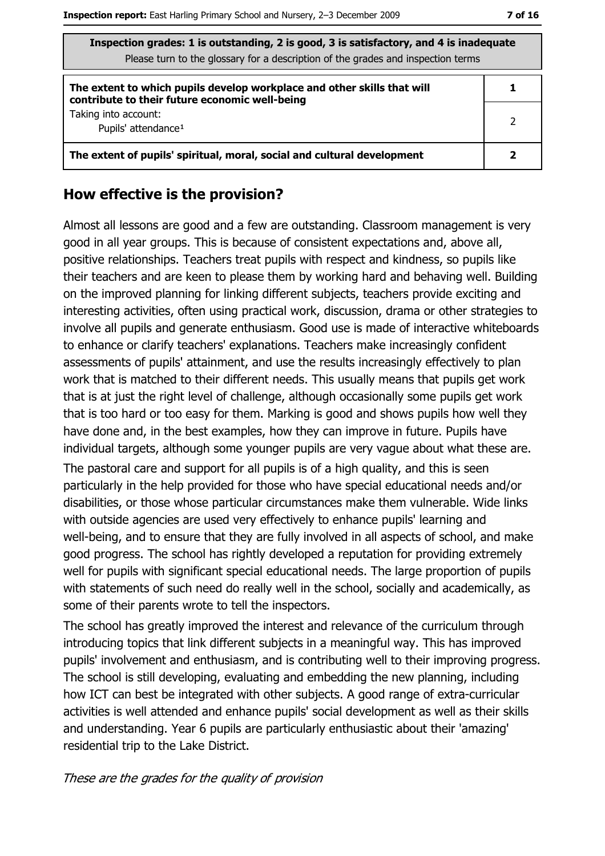| v<br>v<br>۰.<br>v |  |
|-------------------|--|
|-------------------|--|

| Inspection grades: 1 is outstanding, 2 is good, 3 is satisfactory, and 4 is inadequate<br>Please turn to the glossary for a description of the grades and inspection terms |   |
|----------------------------------------------------------------------------------------------------------------------------------------------------------------------------|---|
| The extent to which pupils develop workplace and other skills that will<br>contribute to their future economic well-being                                                  |   |
| Taking into account:<br>Pupils' attendance <sup>1</sup>                                                                                                                    | 2 |
| The extent of pupils' spiritual, moral, social and cultural development                                                                                                    |   |

#### How effective is the provision?

Almost all lessons are good and a few are outstanding. Classroom management is very good in all year groups. This is because of consistent expectations and, above all, positive relationships. Teachers treat pupils with respect and kindness, so pupils like their teachers and are keen to please them by working hard and behaving well. Building on the improved planning for linking different subjects, teachers provide exciting and interesting activities, often using practical work, discussion, drama or other strategies to involve all pupils and generate enthusiasm. Good use is made of interactive whiteboards to enhance or clarify teachers' explanations. Teachers make increasingly confident assessments of pupils' attainment, and use the results increasingly effectively to plan work that is matched to their different needs. This usually means that pupils get work that is at just the right level of challenge, although occasionally some pupils get work that is too hard or too easy for them. Marking is good and shows pupils how well they have done and, in the best examples, how they can improve in future. Pupils have individual targets, although some younger pupils are very vague about what these are. The pastoral care and support for all pupils is of a high quality, and this is seen particularly in the help provided for those who have special educational needs and/or disabilities, or those whose particular circumstances make them vulnerable. Wide links with outside agencies are used very effectively to enhance pupils' learning and well-being, and to ensure that they are fully involved in all aspects of school, and make good progress. The school has rightly developed a reputation for providing extremely well for pupils with significant special educational needs. The large proportion of pupils with statements of such need do really well in the school, socially and academically, as some of their parents wrote to tell the inspectors.

The school has greatly improved the interest and relevance of the curriculum through introducing topics that link different subjects in a meaningful way. This has improved pupils' involvement and enthusiasm, and is contributing well to their improving progress. The school is still developing, evaluating and embedding the new planning, including how ICT can best be integrated with other subjects. A good range of extra-curricular activities is well attended and enhance pupils' social development as well as their skills and understanding. Year 6 pupils are particularly enthusiastic about their 'amazing' residential trip to the Lake District.

#### These are the grades for the quality of provision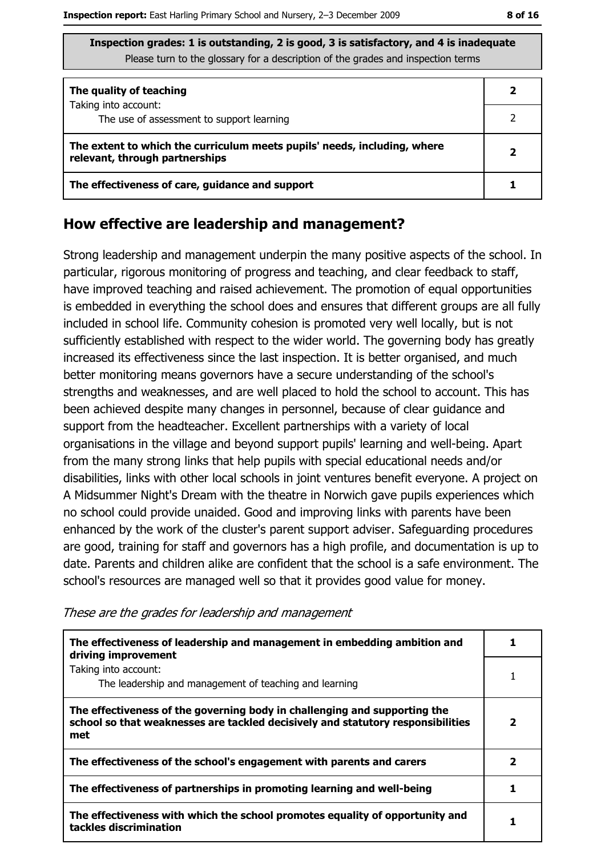| The quality of teaching                                                                                    |  |
|------------------------------------------------------------------------------------------------------------|--|
| Taking into account:<br>The use of assessment to support learning                                          |  |
| The extent to which the curriculum meets pupils' needs, including, where<br>relevant, through partnerships |  |
| The effectiveness of care, guidance and support                                                            |  |

#### How effective are leadership and management?

Strong leadership and management underpin the many positive aspects of the school. In particular, rigorous monitoring of progress and teaching, and clear feedback to staff, have improved teaching and raised achievement. The promotion of equal opportunities is embedded in everything the school does and ensures that different groups are all fully included in school life. Community cohesion is promoted very well locally, but is not sufficiently established with respect to the wider world. The governing body has greatly increased its effectiveness since the last inspection. It is better organised, and much better monitoring means governors have a secure understanding of the school's strengths and weaknesses, and are well placed to hold the school to account. This has been achieved despite many changes in personnel, because of clear guidance and support from the headteacher. Excellent partnerships with a variety of local organisations in the village and beyond support pupils' learning and well-being. Apart from the many strong links that help pupils with special educational needs and/or disabilities, links with other local schools in joint ventures benefit everyone. A project on A Midsummer Night's Dream with the theatre in Norwich gave pupils experiences which no school could provide unaided. Good and improving links with parents have been enhanced by the work of the cluster's parent support adviser. Safeguarding procedures are good, training for staff and governors has a high profile, and documentation is up to date. Parents and children alike are confident that the school is a safe environment. The school's resources are managed well so that it provides good value for money.

| The effectiveness of leadership and management in embedding ambition and<br>driving improvement                                                                     |   |
|---------------------------------------------------------------------------------------------------------------------------------------------------------------------|---|
| Taking into account:                                                                                                                                                |   |
| The leadership and management of teaching and learning                                                                                                              |   |
| The effectiveness of the governing body in challenging and supporting the<br>school so that weaknesses are tackled decisively and statutory responsibilities<br>met | 2 |
| The effectiveness of the school's engagement with parents and carers                                                                                                | 2 |
| The effectiveness of partnerships in promoting learning and well-being                                                                                              |   |
| The effectiveness with which the school promotes equality of opportunity and<br>tackles discrimination                                                              |   |

These are the grades for leadership and management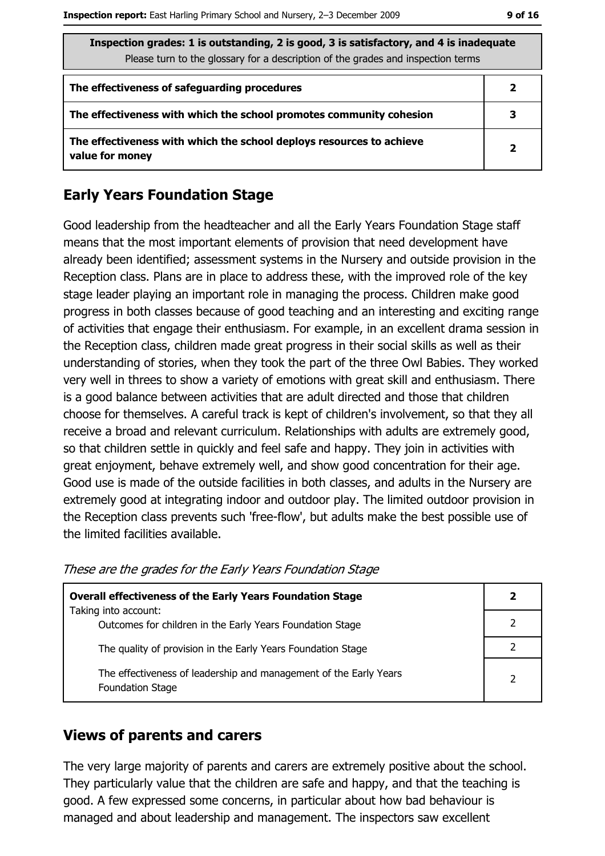| Inspection grades: 1 is outstanding, 2 is good, 3 is satisfactory, and 4 is inadequate<br>Please turn to the glossary for a description of the grades and inspection terms |                |
|----------------------------------------------------------------------------------------------------------------------------------------------------------------------------|----------------|
| The effectiveness of safeguarding procedures                                                                                                                               | 2              |
| The effectiveness with which the school promotes community cohesion                                                                                                        | 3              |
| The effectiveness with which the school deploys resources to achieve<br>value for money                                                                                    | $\overline{2}$ |

#### **Early Years Foundation Stage**

Good leadership from the headteacher and all the Early Years Foundation Stage staff means that the most important elements of provision that need development have already been identified; assessment systems in the Nursery and outside provision in the Reception class. Plans are in place to address these, with the improved role of the key stage leader playing an important role in managing the process. Children make good progress in both classes because of good teaching and an interesting and exciting range of activities that engage their enthusiasm. For example, in an excellent drama session in the Reception class, children made great progress in their social skills as well as their understanding of stories, when they took the part of the three Owl Babies. They worked very well in threes to show a variety of emotions with great skill and enthusiasm. There is a good balance between activities that are adult directed and those that children choose for themselves. A careful track is kept of children's involvement, so that they all receive a broad and relevant curriculum. Relationships with adults are extremely good, so that children settle in quickly and feel safe and happy. They join in activities with great enjoyment, behave extremely well, and show good concentration for their age. Good use is made of the outside facilities in both classes, and adults in the Nursery are extremely good at integrating indoor and outdoor play. The limited outdoor provision in the Reception class prevents such 'free-flow', but adults make the best possible use of the limited facilities available.

| <b>Overall effectiveness of the Early Years Foundation Stage</b>                             | 2              |
|----------------------------------------------------------------------------------------------|----------------|
| Taking into account:<br>Outcomes for children in the Early Years Foundation Stage            |                |
| The quality of provision in the Early Years Foundation Stage                                 |                |
| The effectiveness of leadership and management of the Early Years<br><b>Foundation Stage</b> | $\overline{2}$ |

These are the grades for the Early Years Foundation Stage

#### **Views of parents and carers**

The very large majority of parents and carers are extremely positive about the school. They particularly value that the children are safe and happy, and that the teaching is good. A few expressed some concerns, in particular about how bad behaviour is managed and about leadership and management. The inspectors saw excellent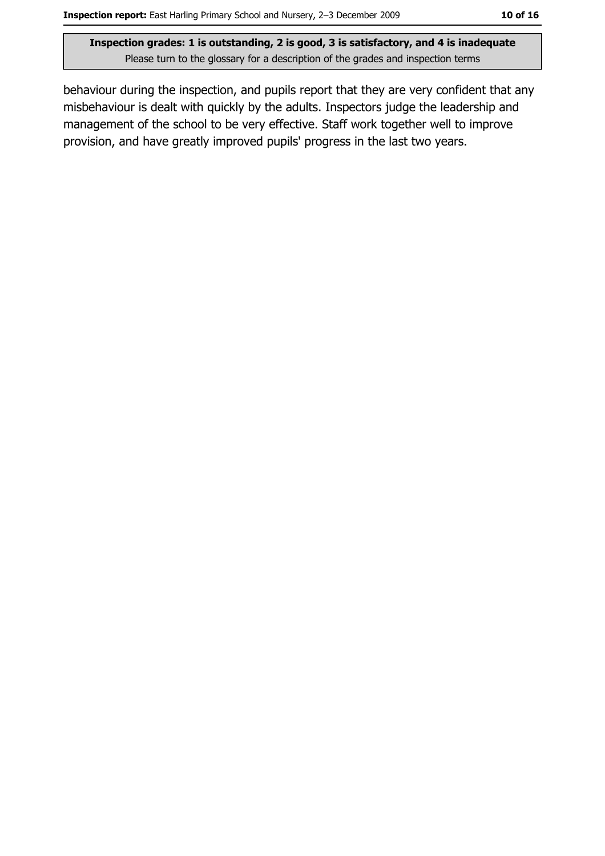behaviour during the inspection, and pupils report that they are very confident that any misbehaviour is dealt with quickly by the adults. Inspectors judge the leadership and management of the school to be very effective. Staff work together well to improve provision, and have greatly improved pupils' progress in the last two years.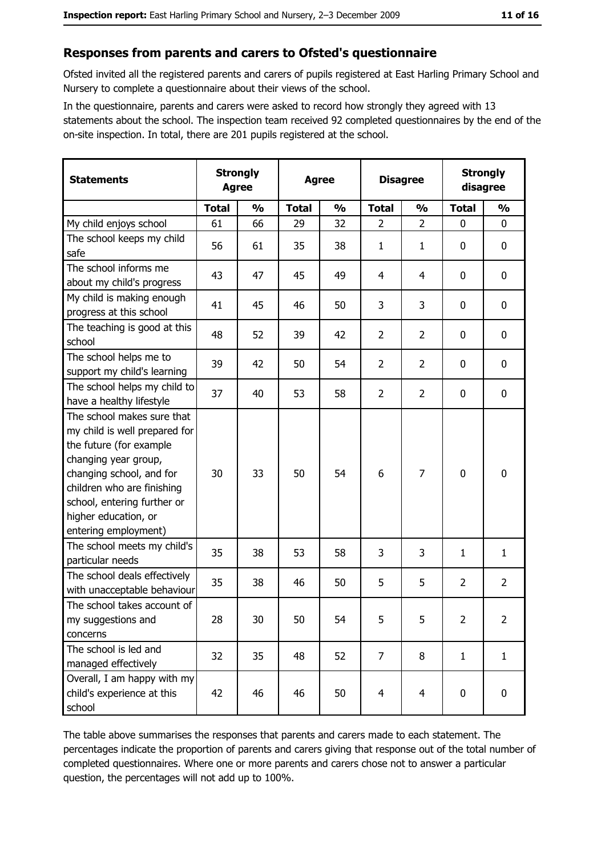#### Responses from parents and carers to Ofsted's questionnaire

Ofsted invited all the registered parents and carers of pupils registered at East Harling Primary School and Nursery to complete a questionnaire about their views of the school.

In the questionnaire, parents and carers were asked to record how strongly they agreed with 13 statements about the school. The inspection team received 92 completed questionnaires by the end of the on-site inspection. In total, there are 201 pupils registered at the school.

| <b>Statements</b>                                                                                                                                                                                                                                       | <b>Strongly</b><br><b>Agree</b> |               | <b>Agree</b> |               | <b>Disagree</b> |                | <b>Strongly</b><br>disagree |                |
|---------------------------------------------------------------------------------------------------------------------------------------------------------------------------------------------------------------------------------------------------------|---------------------------------|---------------|--------------|---------------|-----------------|----------------|-----------------------------|----------------|
|                                                                                                                                                                                                                                                         | <b>Total</b>                    | $\frac{0}{0}$ | <b>Total</b> | $\frac{0}{0}$ | <b>Total</b>    | $\frac{0}{0}$  | <b>Total</b>                | $\frac{0}{0}$  |
| My child enjoys school                                                                                                                                                                                                                                  | 61                              | 66            | 29           | 32            | $\overline{2}$  | $\overline{2}$ | $\mathbf 0$                 | $\mathbf 0$    |
| The school keeps my child<br>safe                                                                                                                                                                                                                       | 56                              | 61            | 35           | 38            | $\mathbf{1}$    | $\mathbf{1}$   | 0                           | $\mathbf 0$    |
| The school informs me<br>about my child's progress                                                                                                                                                                                                      | 43                              | 47            | 45           | 49            | 4               | 4              | 0                           | 0              |
| My child is making enough<br>progress at this school                                                                                                                                                                                                    | 41                              | 45            | 46           | 50            | 3               | 3              | 0                           | 0              |
| The teaching is good at this<br>school                                                                                                                                                                                                                  | 48                              | 52            | 39           | 42            | $\overline{2}$  | $\overline{2}$ | 0                           | $\mathbf 0$    |
| The school helps me to<br>support my child's learning                                                                                                                                                                                                   | 39                              | 42            | 50           | 54            | $\overline{2}$  | $\overline{2}$ | 0                           | $\mathbf 0$    |
| The school helps my child to<br>have a healthy lifestyle                                                                                                                                                                                                | 37                              | 40            | 53           | 58            | $\overline{2}$  | $\overline{2}$ | $\mathbf 0$                 | $\mathbf 0$    |
| The school makes sure that<br>my child is well prepared for<br>the future (for example<br>changing year group,<br>changing school, and for<br>children who are finishing<br>school, entering further or<br>higher education, or<br>entering employment) | 30                              | 33            | 50           | 54            | 6               | 7              | 0                           | $\mathbf 0$    |
| The school meets my child's<br>particular needs                                                                                                                                                                                                         | 35                              | 38            | 53           | 58            | 3               | 3              | 1                           | $\mathbf{1}$   |
| The school deals effectively<br>with unacceptable behaviour                                                                                                                                                                                             | 35                              | 38            | 46           | 50            | 5               | 5              | $\overline{2}$              | $\overline{2}$ |
| The school takes account of<br>my suggestions and<br>concerns                                                                                                                                                                                           | 28                              | 30            | 50           | 54            | 5               | 5              | $\overline{2}$              | $\overline{2}$ |
| The school is led and<br>managed effectively                                                                                                                                                                                                            | 32                              | 35            | 48           | 52            | $\overline{7}$  | 8              | $\mathbf{1}$                | $\mathbf{1}$   |
| Overall, I am happy with my<br>child's experience at this<br>school                                                                                                                                                                                     | 42                              | 46            | 46           | 50            | $\overline{4}$  | $\overline{4}$ | 0                           | 0              |

The table above summarises the responses that parents and carers made to each statement. The percentages indicate the proportion of parents and carers giving that response out of the total number of completed questionnaires. Where one or more parents and carers chose not to answer a particular question, the percentages will not add up to 100%.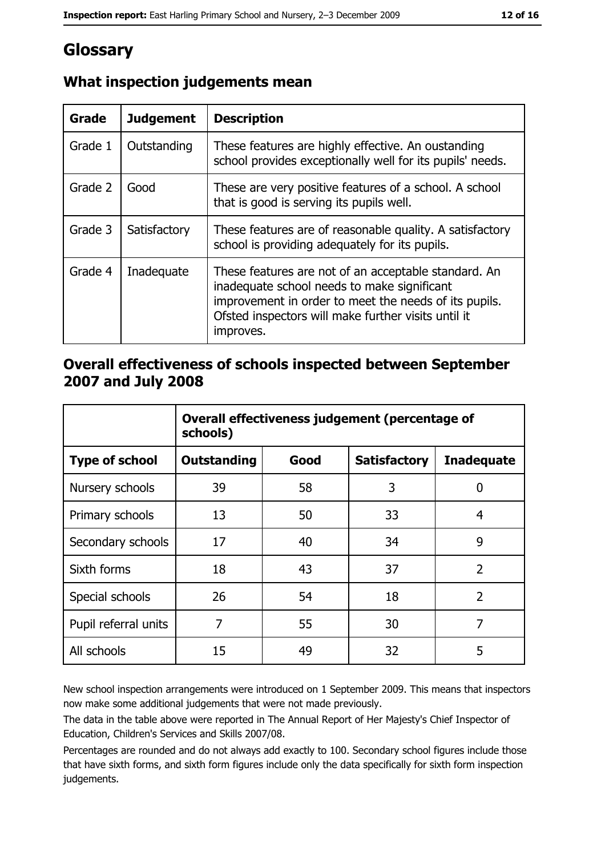# Glossary

| Grade   | <b>Judgement</b> | <b>Description</b>                                                                                                                                                                                                               |
|---------|------------------|----------------------------------------------------------------------------------------------------------------------------------------------------------------------------------------------------------------------------------|
| Grade 1 | Outstanding      | These features are highly effective. An oustanding<br>school provides exceptionally well for its pupils' needs.                                                                                                                  |
| Grade 2 | Good             | These are very positive features of a school. A school<br>that is good is serving its pupils well.                                                                                                                               |
| Grade 3 | Satisfactory     | These features are of reasonable quality. A satisfactory<br>school is providing adequately for its pupils.                                                                                                                       |
| Grade 4 | Inadequate       | These features are not of an acceptable standard. An<br>inadequate school needs to make significant<br>improvement in order to meet the needs of its pupils.<br>Ofsted inspectors will make further visits until it<br>improves. |

## What inspection judgements mean

### Overall effectiveness of schools inspected between September 2007 and July 2008

|                       | Overall effectiveness judgement (percentage of<br>schools) |      |                     |                   |  |
|-----------------------|------------------------------------------------------------|------|---------------------|-------------------|--|
| <b>Type of school</b> | Outstanding                                                | Good | <b>Satisfactory</b> | <b>Inadequate</b> |  |
| Nursery schools       | 39                                                         | 58   | 3                   | 0                 |  |
| Primary schools       | 13                                                         | 50   | 33                  | 4                 |  |
| Secondary schools     | 17                                                         | 40   | 34                  | 9                 |  |
| Sixth forms           | 18                                                         | 43   | 37                  | $\overline{2}$    |  |
| Special schools       | 26                                                         | 54   | 18                  | $\overline{2}$    |  |
| Pupil referral units  | 7                                                          | 55   | 30                  | 7                 |  |
| All schools           | 15                                                         | 49   | 32                  | 5                 |  |

New school inspection arrangements were introduced on 1 September 2009. This means that inspectors now make some additional judgements that were not made previously.

The data in the table above were reported in The Annual Report of Her Majesty's Chief Inspector of Education, Children's Services and Skills 2007/08.

Percentages are rounded and do not always add exactly to 100. Secondary school figures include those that have sixth forms, and sixth form figures include only the data specifically for sixth form inspection judgements.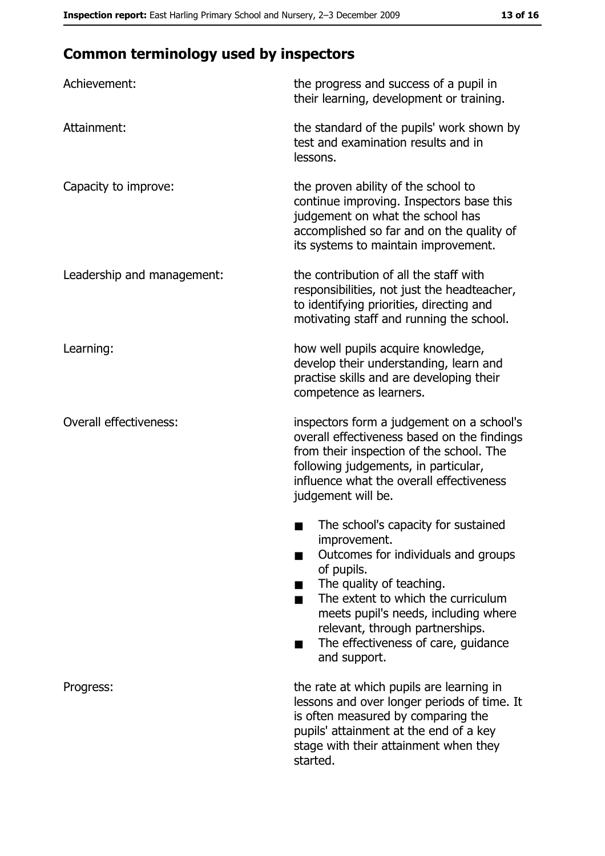# **Common terminology used by inspectors**

| Achievement:                  | the progress and success of a pupil in<br>their learning, development or training.                                                                                                                                                                                                                           |
|-------------------------------|--------------------------------------------------------------------------------------------------------------------------------------------------------------------------------------------------------------------------------------------------------------------------------------------------------------|
| Attainment:                   | the standard of the pupils' work shown by<br>test and examination results and in<br>lessons.                                                                                                                                                                                                                 |
| Capacity to improve:          | the proven ability of the school to<br>continue improving. Inspectors base this<br>judgement on what the school has<br>accomplished so far and on the quality of<br>its systems to maintain improvement.                                                                                                     |
| Leadership and management:    | the contribution of all the staff with<br>responsibilities, not just the headteacher,<br>to identifying priorities, directing and<br>motivating staff and running the school.                                                                                                                                |
| Learning:                     | how well pupils acquire knowledge,<br>develop their understanding, learn and<br>practise skills and are developing their<br>competence as learners.                                                                                                                                                          |
| <b>Overall effectiveness:</b> | inspectors form a judgement on a school's<br>overall effectiveness based on the findings<br>from their inspection of the school. The<br>following judgements, in particular,<br>influence what the overall effectiveness<br>judgement will be.                                                               |
|                               | The school's capacity for sustained<br>improvement.<br>Outcomes for individuals and groups<br>of pupils.<br>The quality of teaching.<br>The extent to which the curriculum<br>meets pupil's needs, including where<br>relevant, through partnerships.<br>The effectiveness of care, guidance<br>and support. |
| Progress:                     | the rate at which pupils are learning in<br>lessons and over longer periods of time. It<br>is often measured by comparing the<br>pupils' attainment at the end of a key<br>stage with their attainment when they<br>started.                                                                                 |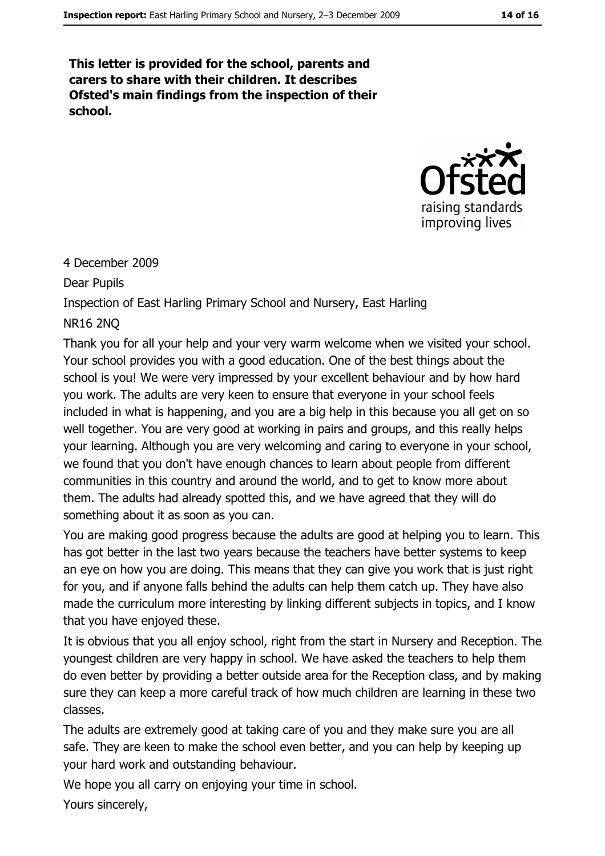This letter is provided for the school, parents and carers to share with their children. It describes Ofsted's main findings from the inspection of their school.



#### 4 December 2009

**Dear Pupils** 

Inspection of East Harling Primary School and Nursery, East Harling

#### **NR16 2NO**

Thank you for all your help and your very warm welcome when we visited your school. Your school provides you with a good education. One of the best things about the school is you! We were very impressed by your excellent behaviour and by how hard you work. The adults are very keen to ensure that everyone in your school feels included in what is happening, and you are a big help in this because you all get on so well together. You are very good at working in pairs and groups, and this really helps your learning. Although you are very welcoming and caring to everyone in your school, we found that you don't have enough chances to learn about people from different communities in this country and around the world, and to get to know more about them. The adults had already spotted this, and we have agreed that they will do something about it as soon as you can.

You are making good progress because the adults are good at helping you to learn. This has got better in the last two years because the teachers have better systems to keep an eye on how you are doing. This means that they can give you work that is just right for you, and if anyone falls behind the adults can help them catch up. They have also made the curriculum more interesting by linking different subjects in topics, and I know that you have enjoved these.

It is obvious that you all enjoy school, right from the start in Nursery and Reception. The youngest children are very happy in school. We have asked the teachers to help them do even better by providing a better outside area for the Reception class, and by making sure they can keep a more careful track of how much children are learning in these two classes.

The adults are extremely good at taking care of you and they make sure you are all safe. They are keen to make the school even better, and you can help by keeping up vour hard work and outstanding behaviour.

We hope you all carry on enjoying your time in school.

Yours sincerely,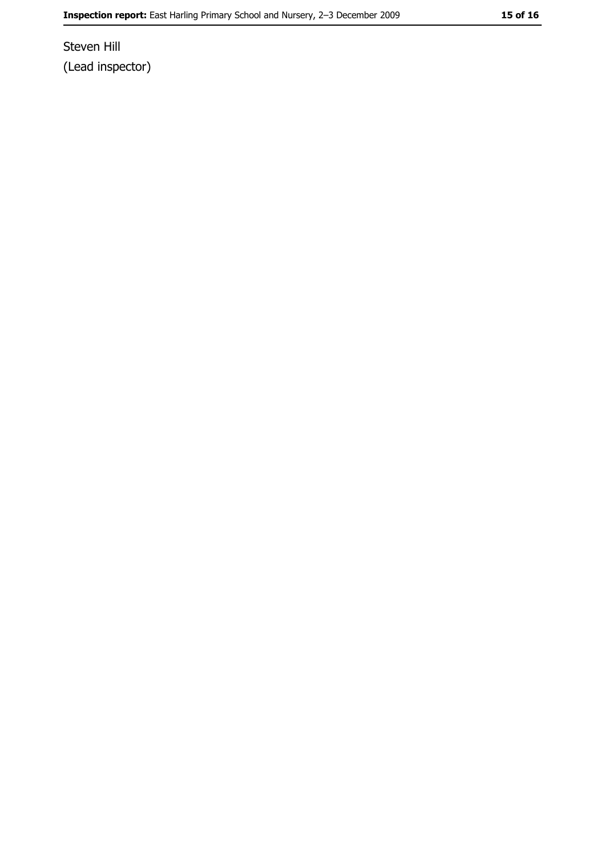Steven Hill (Lead inspector)